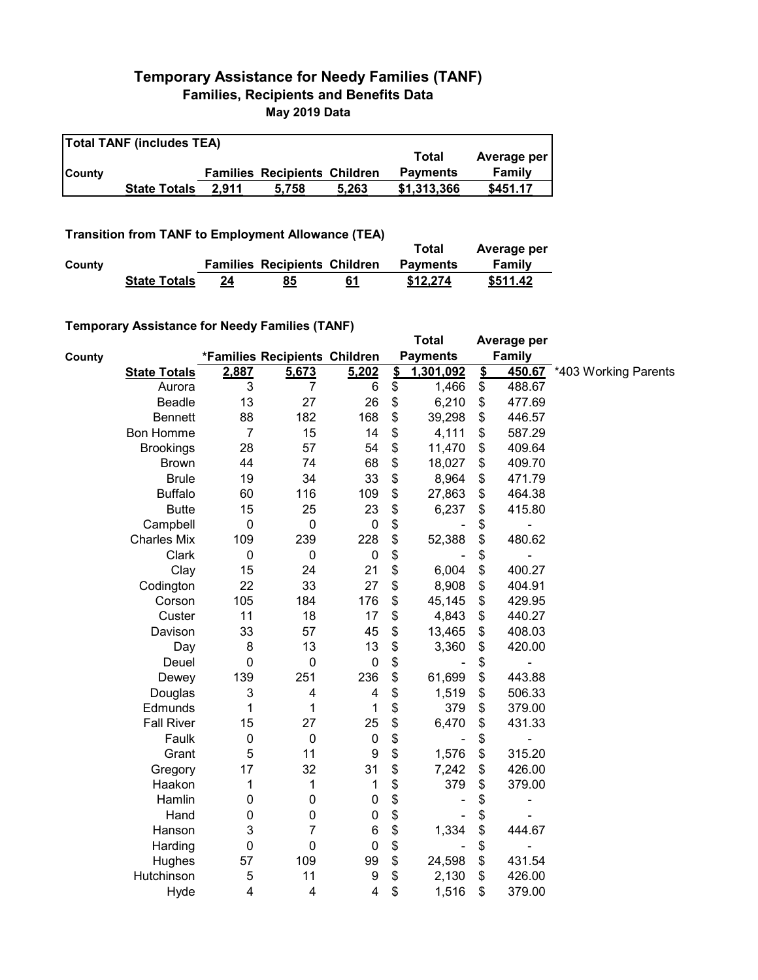## **Temporary Assistance for Needy Families (TANF) Families, Recipients and Benefits Data May 2019 Data**

| <b>Total TANF (includes TEA)</b> |                     |       |                                     |       |                 |             |  |  |
|----------------------------------|---------------------|-------|-------------------------------------|-------|-----------------|-------------|--|--|
|                                  |                     |       |                                     |       | Total           | Average per |  |  |
| <b>County</b>                    |                     |       | <b>Families Recipients Children</b> |       | <b>Payments</b> | Family      |  |  |
|                                  | <b>State Totals</b> | 2.911 | 5.758                               | 5.263 | \$1,313,366     | \$451.17    |  |  |

**Transition from TANF to Employment Allowance (TEA)**

|        |                     |    |                                     |    | Total           | Average per |
|--------|---------------------|----|-------------------------------------|----|-----------------|-------------|
| County |                     |    | <b>Families Recipients Children</b> |    | <b>Payments</b> | Family      |
|        | <b>State Totals</b> | 24 | 85                                  | 61 | \$12,274        | \$511.42    |

## **Temporary Assistance for Needy Families (TANF)**

|        | $1$ chiporary Assistance for Needy Families (TANT) |                |                               |                  |               | <b>Total</b>    |               | Average per   |                             |
|--------|----------------------------------------------------|----------------|-------------------------------|------------------|---------------|-----------------|---------------|---------------|-----------------------------|
| County |                                                    |                | *Families Recipients Children |                  |               | <b>Payments</b> |               | <b>Family</b> |                             |
|        | <b>State Totals</b>                                | 2,887          | 5,673                         | 5,202            | $\frac{2}{3}$ | 1,301,092       | $\frac{2}{3}$ |               | 450.67 *403 Working Parents |
|        | Aurora                                             | 3              | 7                             | 6                | \$            | 1,466           | \$            | 488.67        |                             |
|        | Beadle                                             | 13             | 27                            | 26               | \$            | 6,210           | \$            | 477.69        |                             |
|        | <b>Bennett</b>                                     | 88             | 182                           | 168              | \$            | 39,298          | \$            | 446.57        |                             |
|        | <b>Bon Homme</b>                                   | $\overline{7}$ | 15                            | 14               | \$            | 4,111           | \$            | 587.29        |                             |
|        | <b>Brookings</b>                                   | 28             | 57                            | 54               | \$            | 11,470          | \$            | 409.64        |                             |
|        | <b>Brown</b>                                       | 44             | 74                            | 68               | \$            | 18,027          | \$            | 409.70        |                             |
|        | <b>Brule</b>                                       | 19             | 34                            | 33               | \$            | 8,964           | \$            | 471.79        |                             |
|        | <b>Buffalo</b>                                     | 60             | 116                           | 109              | \$            | 27,863          | \$            | 464.38        |                             |
|        | <b>Butte</b>                                       | 15             | 25                            | 23               | \$            | 6,237           | \$            | 415.80        |                             |
|        | Campbell                                           | $\mathbf 0$    | $\mathbf 0$                   | $\boldsymbol{0}$ | \$            |                 | \$            |               |                             |
|        | <b>Charles Mix</b>                                 | 109            | 239                           | 228              | \$            | 52,388          | \$            | 480.62        |                             |
|        | Clark                                              | $\pmb{0}$      | $\pmb{0}$                     | $\mathbf 0$      | \$            |                 | \$            |               |                             |
|        | Clay                                               | 15             | 24                            | 21               | \$            | 6,004           | \$            | 400.27        |                             |
|        | Codington                                          | 22             | 33                            | 27               | \$            | 8,908           | \$            | 404.91        |                             |
|        | Corson                                             | 105            | 184                           | 176              | \$            | 45,145          | \$            | 429.95        |                             |
|        | Custer                                             | 11             | 18                            | 17               | \$            | 4,843           | \$            | 440.27        |                             |
|        | Davison                                            | 33             | 57                            | 45               | \$            | 13,465          | \$            | 408.03        |                             |
|        | Day                                                | 8              | 13                            | 13               | \$            | 3,360           | \$            | 420.00        |                             |
|        | Deuel                                              | $\mathbf 0$    | $\mathbf 0$                   | $\boldsymbol{0}$ | \$            |                 | \$            |               |                             |
|        | Dewey                                              | 139            | 251                           | 236              | \$            | 61,699          | \$            | 443.88        |                             |
|        | Douglas                                            | 3              | 4                             | 4                | \$            | 1,519           | \$            | 506.33        |                             |
|        | Edmunds                                            | 1              | 1                             | 1                | \$            | 379             | \$            | 379.00        |                             |
|        | <b>Fall River</b>                                  | 15             | 27                            | 25               | \$            | 6,470           | \$            | 431.33        |                             |
|        | Faulk                                              | $\mathbf 0$    | $\pmb{0}$                     | $\pmb{0}$        | \$            |                 | \$            |               |                             |
|        | Grant                                              | 5              | 11                            | 9                | \$            | 1,576           | \$            | 315.20        |                             |
|        | Gregory                                            | 17             | 32                            | 31               | \$            | 7,242           | \$            | 426.00        |                             |
|        | Haakon                                             | 1              | 1                             | 1                | \$            | 379             | \$            | 379.00        |                             |
|        | Hamlin                                             | 0              | $\pmb{0}$                     | $\pmb{0}$        | \$            |                 | \$            | ۰             |                             |
|        | Hand                                               | 0              | $\pmb{0}$                     | $\pmb{0}$        | \$            |                 | \$            |               |                             |
|        | Hanson                                             | 3              | 7                             | $\boldsymbol{6}$ | \$            | 1,334           | \$            | 444.67        |                             |
|        | Harding                                            | 0              | $\mathbf 0$                   | $\mathbf 0$      | \$            |                 | \$            | ۰             |                             |
|        | Hughes                                             | 57             | 109                           | 99               | \$            | 24,598          | \$            | 431.54        |                             |
|        | Hutchinson                                         | 5              | 11                            | 9                | \$            | 2,130           | \$            | 426.00        |                             |
|        | Hyde                                               | 4              | 4                             | 4                | \$            | 1,516           | \$            | 379.00        |                             |